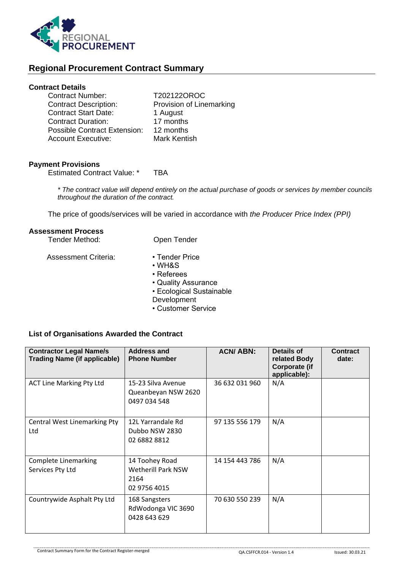

# **Regional Procurement Contract Summary**

## **Contract Details**

| <b>Contract Number:</b>             | T202122OROC              |
|-------------------------------------|--------------------------|
| <b>Contract Description:</b>        | Provision of Linemarking |
| <b>Contract Start Date:</b>         | 1 August                 |
| <b>Contract Duration:</b>           | 17 months                |
| <b>Possible Contract Extension:</b> | 12 months                |
| <b>Account Executive:</b>           | <b>Mark Kentish</b>      |

### **Payment Provisions**

Estimated Contract Value: \* TBA

*\* The contract value will depend entirely on the actual purchase of goods or services by member councils throughout the duration of the contract.*

The price of goods/services will be varied in accordance with *the Producer Price Index (PPI)*

#### **Assessment Process**

| Tender Method:              | Open Tender              |  |  |
|-----------------------------|--------------------------|--|--|
| <b>Assessment Criteria:</b> | • Tender Price<br>∙ WH&S |  |  |

- Referees
- Quality Assurance
- 
- Ecological Sustainable
- **Development**
- Customer Service

## **List of Organisations Awarded the Contract**

| <b>Contractor Legal Name/s</b><br><b>Trading Name (if applicable)</b> | <b>Address and</b><br><b>Phone Number</b>                    | <b>ACN/ABN:</b> | Details of<br>related Body<br>Corporate (if<br>applicable): | <b>Contract</b><br>date: |
|-----------------------------------------------------------------------|--------------------------------------------------------------|-----------------|-------------------------------------------------------------|--------------------------|
| <b>ACT Line Marking Pty Ltd</b>                                       | 15-23 Silva Avenue<br>Queanbeyan NSW 2620<br>0497 034 548    | 36 632 031 960  | N/A                                                         |                          |
| <b>Central West Linemarking Pty</b><br>Ltd                            | 12L Yarrandale Rd<br>Dubbo NSW 2830<br>02 6882 8812          | 97 135 556 179  | N/A                                                         |                          |
| <b>Complete Linemarking</b><br>Services Pty Ltd                       | 14 Toohey Road<br>Wetherill Park NSW<br>2164<br>02 9756 4015 | 14 154 443 786  | N/A                                                         |                          |
| Countrywide Asphalt Pty Ltd                                           | 168 Sangsters<br>RdWodonga VIC 3690<br>0428 643 629          | 70 630 550 239  | N/A                                                         |                          |